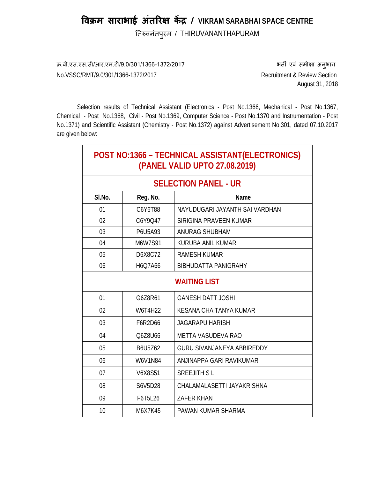# **िवक्रम साराभाई अतिरक्ष ं कɅद्र / VIKRAM SARABHAI SPACE CENTRE**

तिरुवनंतपुरम / THIRUVANANTHAPURAM

क्र.वी.एस.एस.सी/आर.एम.टी/9.0/301/1366-1372/2017 भारत कर समीक्षा अनुभाग

 $\mathbf{I}$ 

No.VSSC/RMT/9.0/301/1366-1372/2017 Recruitment & Review Section August 31, 2018

Selection results of Technical Assistant (Electronics - Post No.1366, Mechanical - Post No.1367, Chemical - Post No.1368, Civil - Post No.1369, Computer Science - Post No.1370 and Instrumentation - Post No.1371) and Scientific Assistant (Chemistry - Post No.1372) against Advertisement No.301, dated 07.10.2017 are given below:

| POST NO:1366 - TECHNICAL ASSISTANT(ELECTRONICS)<br>(PANEL VALID UPTO 27.08.2019) |          |                                   |  |
|----------------------------------------------------------------------------------|----------|-----------------------------------|--|
| <b>SELECTION PANEL - UR</b>                                                      |          |                                   |  |
| SI.No.                                                                           | Reg. No. | Name                              |  |
| 01                                                                               | C6Y6T88  | NAYUDUGARI JAYANTH SAI VARDHAN    |  |
| 02                                                                               | C6Y9Q47  | SIRIGINA PRAVEEN KUMAR            |  |
| 03                                                                               | P6U5A93  | ANURAG SHUBHAM                    |  |
| 04                                                                               | M6W7S91  | KURUBA ANIL KUMAR                 |  |
| 05                                                                               | D6X8C72  | <b>RAMESH KUMAR</b>               |  |
| 06                                                                               | H6Q7A66  | <b>BIBHUDATTA PANIGRAHY</b>       |  |
| <b>WAITING LIST</b>                                                              |          |                                   |  |
| 01                                                                               | G6Z8R61  | <b>GANESH DATT JOSHI</b>          |  |
| 02                                                                               | W6T4H22  | KESANA CHAITANYA KUMAR            |  |
| 03                                                                               | F6R2D66  | <b>JAGARAPU HARISH</b>            |  |
| 04                                                                               | Q6Z8U66  | METTA VASUDEVA RAO                |  |
| 05                                                                               | B6U5Z62  | <b>GURU SIVANJANEYA ABBIREDDY</b> |  |
| 06                                                                               | W6V1N84  | ANJINAPPA GARI RAVIKUMAR          |  |
| 07                                                                               | V6X8S51  | <b>SREEJITH SL</b>                |  |
| 08                                                                               | S6V5D28  | CHALAMALASETTI JAYAKRISHNA        |  |
| 09                                                                               | F6T5L26  | <b>ZAFER KHAN</b>                 |  |
| 10                                                                               | M6X7K45  | PAWAN KUMAR SHARMA                |  |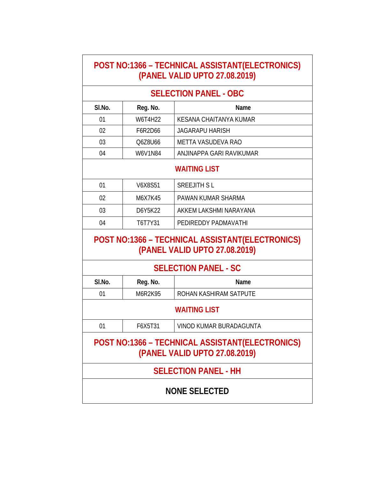| POST NO:1366 - TECHNICAL ASSISTANT(ELECTRONICS)<br>(PANEL VALID UPTO 27.08.2019) |                              |                                                                                  |  |  |
|----------------------------------------------------------------------------------|------------------------------|----------------------------------------------------------------------------------|--|--|
|                                                                                  | <b>SELECTION PANEL - OBC</b> |                                                                                  |  |  |
| SI.No.                                                                           | Reg. No.                     | Name                                                                             |  |  |
| 01                                                                               | W6T4H22                      | KESANA CHAITANYA KUMAR                                                           |  |  |
| 02                                                                               | F6R2D66                      | <b>JAGARAPU HARISH</b>                                                           |  |  |
| 03                                                                               | Q6Z8U66                      | METTA VASUDEVA RAO                                                               |  |  |
| 04                                                                               | W6V1N84                      | ANJINAPPA GARI RAVIKUMAR                                                         |  |  |
|                                                                                  | <b>WAITING LIST</b>          |                                                                                  |  |  |
| 01                                                                               | V6X8S51                      | <b>SREEJITH SL</b>                                                               |  |  |
| 02                                                                               | M6X7K45                      | PAWAN KUMAR SHARMA                                                               |  |  |
| 03                                                                               | D6Y5K22                      | AKKEM LAKSHMI NARAYANA                                                           |  |  |
| 04                                                                               | T6T7Y31                      | PEDIREDDY PADMAVATHI                                                             |  |  |
|                                                                                  |                              |                                                                                  |  |  |
|                                                                                  |                              | POST NO:1366 - TECHNICAL ASSISTANT(ELECTRONICS)<br>(PANEL VALID UPTO 27.08.2019) |  |  |
|                                                                                  |                              | <b>SELECTION PANEL - SC</b>                                                      |  |  |
| SI.No.                                                                           | Reg. No.                     | Name                                                                             |  |  |
| 01                                                                               | M6R2K95                      | ROHAN KASHIRAM SATPUTE                                                           |  |  |
|                                                                                  |                              | <b>WAITING LIST</b>                                                              |  |  |
| 01                                                                               | F6X5T31                      | VINOD KUMAR BURADAGUNTA                                                          |  |  |
|                                                                                  |                              | POST NO:1366 - TECHNICAL ASSISTANT(ELECTRONICS)<br>(PANEL VALID UPTO 27.08.2019) |  |  |
|                                                                                  |                              | <b>SELECTION PANEL - HH</b>                                                      |  |  |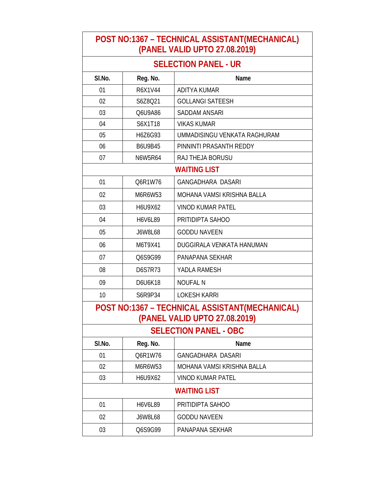#### **POST NO:1367 – TECHNICAL ASSISTANT(MECHANICAL) (PANEL VALID UPTO 27.08.2019)**

### **SELECTION PANEL - UR**

| SI.No.                                                                          | Reg. No.       | Name                         |  |
|---------------------------------------------------------------------------------|----------------|------------------------------|--|
| 01                                                                              | R6X1V44        | <b>ADITYA KUMAR</b>          |  |
| 02                                                                              | S6Z8Q21        | <b>GOLLANGI SATEESH</b>      |  |
| 03                                                                              | Q6U9A86        | <b>SADDAM ANSARI</b>         |  |
| 04                                                                              | S6X1T18        | <b>VIKAS KUMAR</b>           |  |
| 05                                                                              | H6Z6G93        | UMMADISINGU VENKATA RAGHURAM |  |
| 06                                                                              | <b>B6U9B45</b> | PINNINTI PRASANTH REDDY      |  |
| 07                                                                              | N6W5R64        | RAJ THEJA BORUSU             |  |
|                                                                                 |                | <b>WAITING LIST</b>          |  |
| 01                                                                              | Q6R1W76        | <b>GANGADHARA DASARI</b>     |  |
| 02                                                                              | M6R6W53        | MOHANA VAMSI KRISHNA BALLA   |  |
| 03                                                                              | H6U9X62        | <b>VINOD KUMAR PATEL</b>     |  |
| 04                                                                              | H6V6L89        | PRITIDIPTA SAHOO             |  |
| 05                                                                              | <b>J6W8L68</b> | <b>GODDU NAVEEN</b>          |  |
| 06                                                                              | M6T9X41        | DUGGIRALA VENKATA HANUMAN    |  |
| 07                                                                              | Q6S9G99        | PANAPANA SEKHAR              |  |
| 08                                                                              | <b>D6S7R73</b> | YADLA RAMESH                 |  |
| 09                                                                              | D6U6K18        | <b>NOUFAL N</b>              |  |
| 10                                                                              | S6R9P34        | <b>LOKESH KARRI</b>          |  |
| POST NO:1367 - TECHNICAL ASSISTANT(MECHANICAL)<br>(PANEL VALID UPTO 27.08.2019) |                |                              |  |
| <b>SELECTION PANEL - OBC</b>                                                    |                |                              |  |
| SI.No.                                                                          | Reg. No.       | Name                         |  |
| 01                                                                              | Q6R1W76        | GANGADHARA DASARI            |  |
| 02                                                                              | M6R6W53        | MOHANA VAMSI KRISHNA BALLA   |  |
| 03                                                                              | H6U9X62        | <b>VINOD KUMAR PATEL</b>     |  |
| <b>WAITING LIST</b>                                                             |                |                              |  |
| 01                                                                              | H6V6L89        | PRITIDIPTA SAHOO             |  |
| 02                                                                              | J6W8L68        | <b>GODDU NAVEEN</b>          |  |
| 03                                                                              | Q6S9G99        | PANAPANA SEKHAR              |  |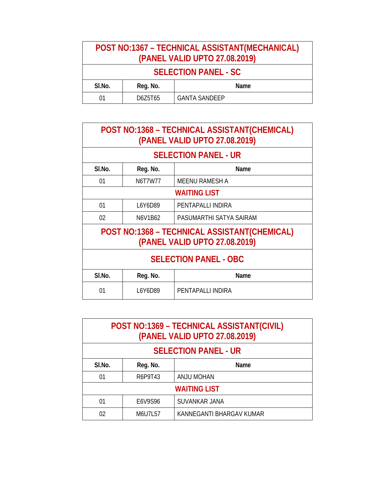| POST NO:1367 - TECHNICAL ASSISTANT(MECHANICAL)<br>(PANEL VALID UPTO 27.08.2019) |          |                      |
|---------------------------------------------------------------------------------|----------|----------------------|
| <b>SELECTION PANEL - SC</b>                                                     |          |                      |
| SI.No.                                                                          | Reg. No. | Name                 |
| 01                                                                              | D6Z5T65  | <b>GANTA SANDEEP</b> |

| POST NO:1368 - TECHNICAL ASSISTANT(CHEMICAL)<br>(PANEL VALID UPTO 27.08.2019) |                                                                               |                         |  |  |
|-------------------------------------------------------------------------------|-------------------------------------------------------------------------------|-------------------------|--|--|
|                                                                               | <b>SELECTION PANEL - UR</b>                                                   |                         |  |  |
| SI.No.                                                                        | Reg. No.                                                                      | Name                    |  |  |
| 01                                                                            | <b>N6T7W77</b>                                                                | <b>MEENU RAMESH A</b>   |  |  |
|                                                                               | <b>WAITING LIST</b>                                                           |                         |  |  |
| 01                                                                            | L6Y6D89                                                                       | PENTAPALLI INDIRA       |  |  |
| 02                                                                            | N6V1B62                                                                       | PASUMARTHI SATYA SAIRAM |  |  |
|                                                                               | POST NO:1368 - TECHNICAL ASSISTANT(CHEMICAL)<br>(PANEL VALID UPTO 27.08.2019) |                         |  |  |
| <b>SELECTION PANEL - OBC</b>                                                  |                                                                               |                         |  |  |
| SI.No.                                                                        | Reg. No.                                                                      | Name                    |  |  |
| 01                                                                            | L6Y6D89                                                                       | PENTAPALLI INDIRA       |  |  |

| POST NO:1369 - TECHNICAL ASSISTANT(CIVIL)<br>(PANEL VALID UPTO 27.08.2019) |                  |                          |  |  |
|----------------------------------------------------------------------------|------------------|--------------------------|--|--|
| <b>SELECTION PANEL - UR</b>                                                |                  |                          |  |  |
| SI.No.                                                                     | Reg. No.<br>Name |                          |  |  |
| 01                                                                         | R6P9T43          | <b>ANJU MOHAN</b>        |  |  |
| <b>WAITING LIST</b>                                                        |                  |                          |  |  |
| 01                                                                         | E6V9S96          | SUVANKAR JANA            |  |  |
| 02                                                                         | M6U7L57          | KANNEGANTI BHARGAV KUMAR |  |  |